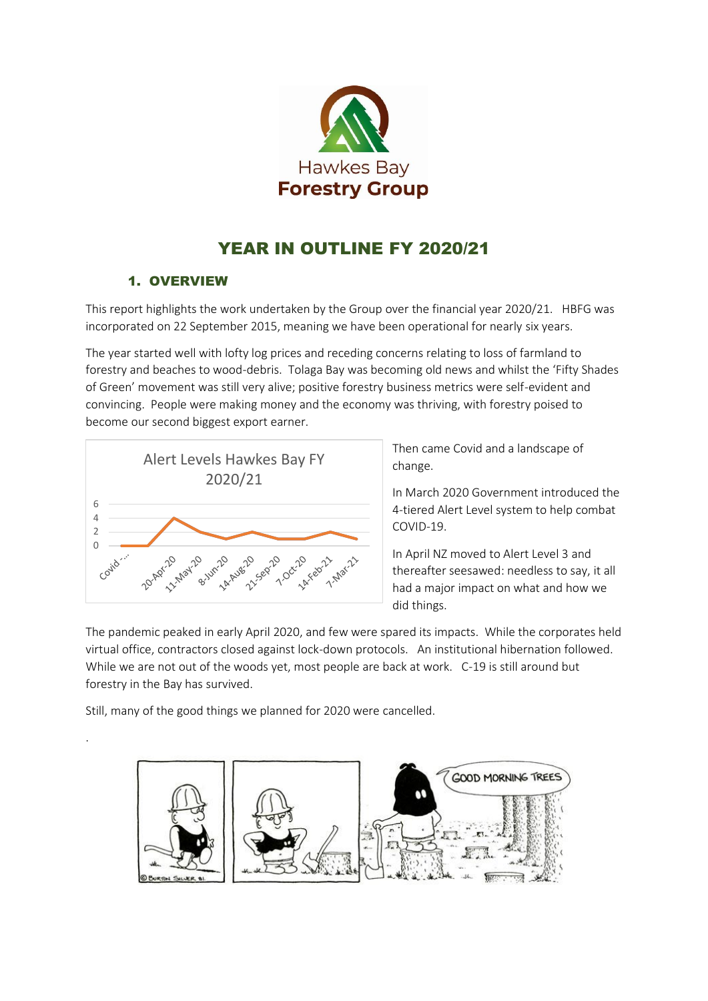

# YEAR IN OUTLINE FY 2020/21

# 1. OVERVIEW

This report highlights the work undertaken by the Group over the financial year 2020/21. HBFG was incorporated on 22 September 2015, meaning we have been operational for nearly six years.

The year started well with lofty log prices and receding concerns relating to loss of farmland to forestry and beaches to wood-debris. Tolaga Bay was becoming old news and whilst the 'Fifty Shades of Green' movement was still very alive; positive forestry business metrics were self-evident and convincing. People were making money and the economy was thriving, with forestry poised to become our second biggest export earner.



Then came Covid and a landscape of change.

In March 2020 Government introduced the 4-tiered Alert Level system to help combat COVID-19.

In April NZ moved to Alert Level 3 and thereafter seesawed: needless to say, it all had a major impact on what and how we did things.

The pandemic peaked in early April 2020, and few were spared its impacts. While the corporates held virtual office, contractors closed against lock-down protocols. An institutional hibernation followed. While we are not out of the woods yet, most people are back at work. C-19 is still around but forestry in the Bay has survived.

Still, many of the good things we planned for 2020 were cancelled.

.

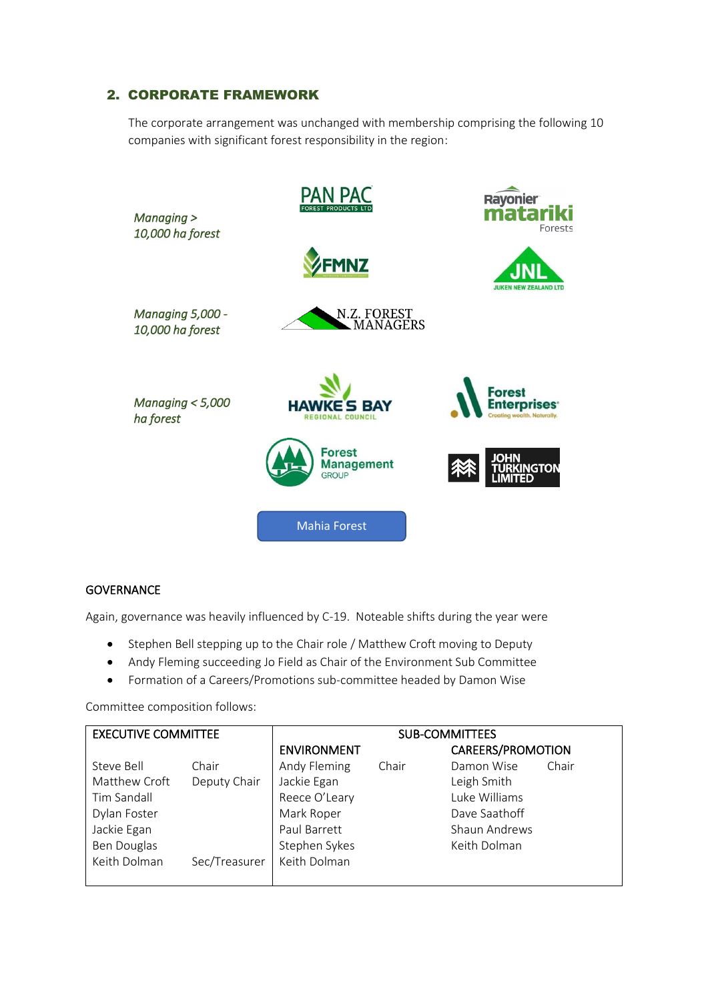## 2. CORPORATE FRAMEWORK

The corporate arrangement was unchanged with membership comprising the following 10 companies with significant forest responsibility in the region:



#### **GOVERNANCE**

Again, governance was heavily influenced by C-19. Noteable shifts during the year were

- Stephen Bell stepping up to the Chair role / Matthew Croft moving to Deputy
- Andy Fleming succeeding Jo Field as Chair of the Environment Sub Committee
- Formation of a Careers/Promotions sub-committee headed by Damon Wise

Committee composition follows:

| <b>EXECUTIVE COMMITTEE</b> |               | <b>SUB-COMMITTEES</b> |       |                   |       |
|----------------------------|---------------|-----------------------|-------|-------------------|-------|
|                            |               | <b>ENVIRONMENT</b>    |       | CAREERS/PROMOTION |       |
| Steve Bell                 | Chair         | Andy Fleming          | Chair | Damon Wise        | Chair |
| Matthew Croft              | Deputy Chair  | Jackie Egan           |       | Leigh Smith       |       |
| Tim Sandall                |               | Reece O'Leary         |       | Luke Williams     |       |
| Dylan Foster               |               | Mark Roper            |       | Dave Saathoff     |       |
| Jackie Egan                |               | Paul Barrett          |       | Shaun Andrews     |       |
| <b>Ben Douglas</b>         |               | Stephen Sykes         |       | Keith Dolman      |       |
| Keith Dolman               | Sec/Treasurer | Keith Dolman          |       |                   |       |
|                            |               |                       |       |                   |       |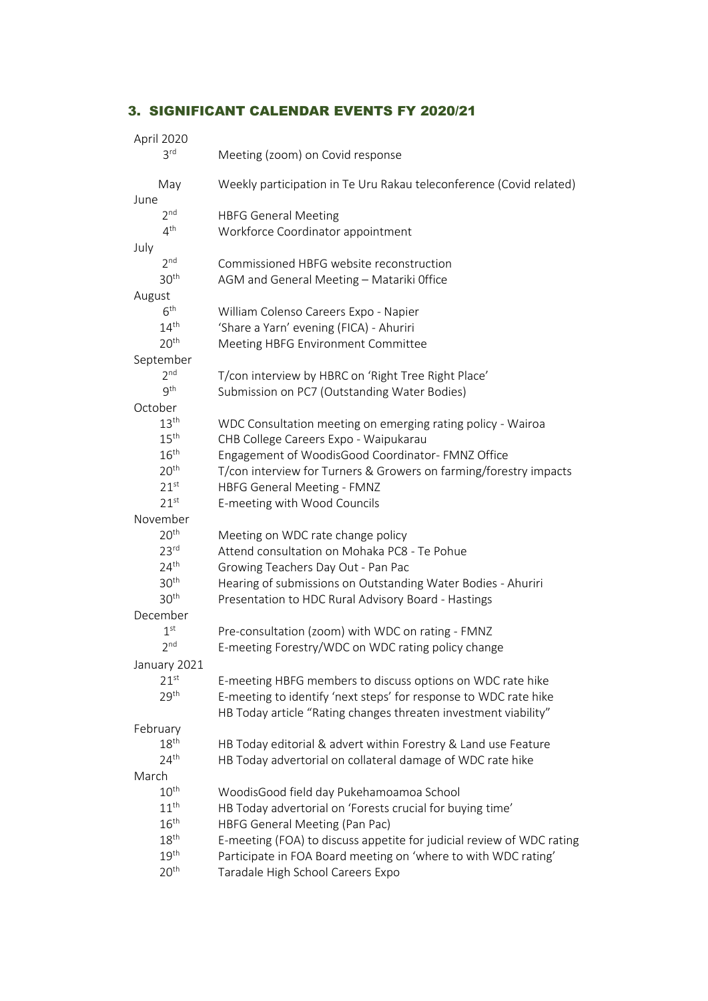# 3. SIGNIFICANT CALENDAR EVENTS FY 2020/21

| April 2020       |                                                                       |  |  |
|------------------|-----------------------------------------------------------------------|--|--|
| 3 <sup>rd</sup>  | Meeting (zoom) on Covid response                                      |  |  |
| May              | Weekly participation in Te Uru Rakau teleconference (Covid related)   |  |  |
| June             |                                                                       |  |  |
| 2 <sup>nd</sup>  | <b>HBFG General Meeting</b>                                           |  |  |
| 4 <sup>th</sup>  | Workforce Coordinator appointment                                     |  |  |
| July             |                                                                       |  |  |
| 2 <sup>nd</sup>  | Commissioned HBFG website reconstruction                              |  |  |
| 30 <sup>th</sup> | AGM and General Meeting - Matariki Office                             |  |  |
| August           |                                                                       |  |  |
| 6 <sup>th</sup>  | William Colenso Careers Expo - Napier                                 |  |  |
| 14 <sup>th</sup> | 'Share a Yarn' evening (FICA) - Ahuriri                               |  |  |
| 20 <sup>th</sup> | Meeting HBFG Environment Committee                                    |  |  |
| September        |                                                                       |  |  |
| 2 <sup>nd</sup>  | T/con interview by HBRC on 'Right Tree Right Place'                   |  |  |
| 9 <sup>th</sup>  | Submission on PC7 (Outstanding Water Bodies)                          |  |  |
| October          |                                                                       |  |  |
| 13 <sup>th</sup> | WDC Consultation meeting on emerging rating policy - Wairoa           |  |  |
| 15 <sup>th</sup> | CHB College Careers Expo - Waipukarau                                 |  |  |
| 16 <sup>th</sup> | Engagement of WoodisGood Coordinator- FMNZ Office                     |  |  |
| 20 <sup>th</sup> | T/con interview for Turners & Growers on farming/forestry impacts     |  |  |
| 21 <sup>st</sup> | HBFG General Meeting - FMNZ                                           |  |  |
| 21 <sup>st</sup> | E-meeting with Wood Councils                                          |  |  |
| November         |                                                                       |  |  |
| 20 <sup>th</sup> | Meeting on WDC rate change policy                                     |  |  |
| 23 <sup>rd</sup> | Attend consultation on Mohaka PC8 - Te Pohue                          |  |  |
| 24 <sup>th</sup> | Growing Teachers Day Out - Pan Pac                                    |  |  |
| 30 <sup>th</sup> | Hearing of submissions on Outstanding Water Bodies - Ahuriri          |  |  |
| 30 <sup>th</sup> | Presentation to HDC Rural Advisory Board - Hastings                   |  |  |
| December         |                                                                       |  |  |
| 1 <sup>st</sup>  | Pre-consultation (zoom) with WDC on rating - FMNZ                     |  |  |
| 2 <sup>nd</sup>  | E-meeting Forestry/WDC on WDC rating policy change                    |  |  |
| January 2021     |                                                                       |  |  |
| 21 <sup>st</sup> | E-meeting HBFG members to discuss options on WDC rate hike            |  |  |
| 29 <sup>th</sup> | E-meeting to identify 'next steps' for response to WDC rate hike      |  |  |
|                  | HB Today article "Rating changes threaten investment viability"       |  |  |
| February         |                                                                       |  |  |
| 18 <sup>th</sup> | HB Today editorial & advert within Forestry & Land use Feature        |  |  |
| 24 <sup>th</sup> | HB Today advertorial on collateral damage of WDC rate hike            |  |  |
| March            |                                                                       |  |  |
| $10^{\text{th}}$ | WoodisGood field day Pukehamoamoa School                              |  |  |
| 11 <sup>th</sup> | HB Today advertorial on 'Forests crucial for buying time'             |  |  |
| 16 <sup>th</sup> | HBFG General Meeting (Pan Pac)                                        |  |  |
| 18 <sup>th</sup> | E-meeting (FOA) to discuss appetite for judicial review of WDC rating |  |  |
| 19 <sup>th</sup> | Participate in FOA Board meeting on 'where to with WDC rating'        |  |  |
| 20 <sup>th</sup> | Taradale High School Careers Expo                                     |  |  |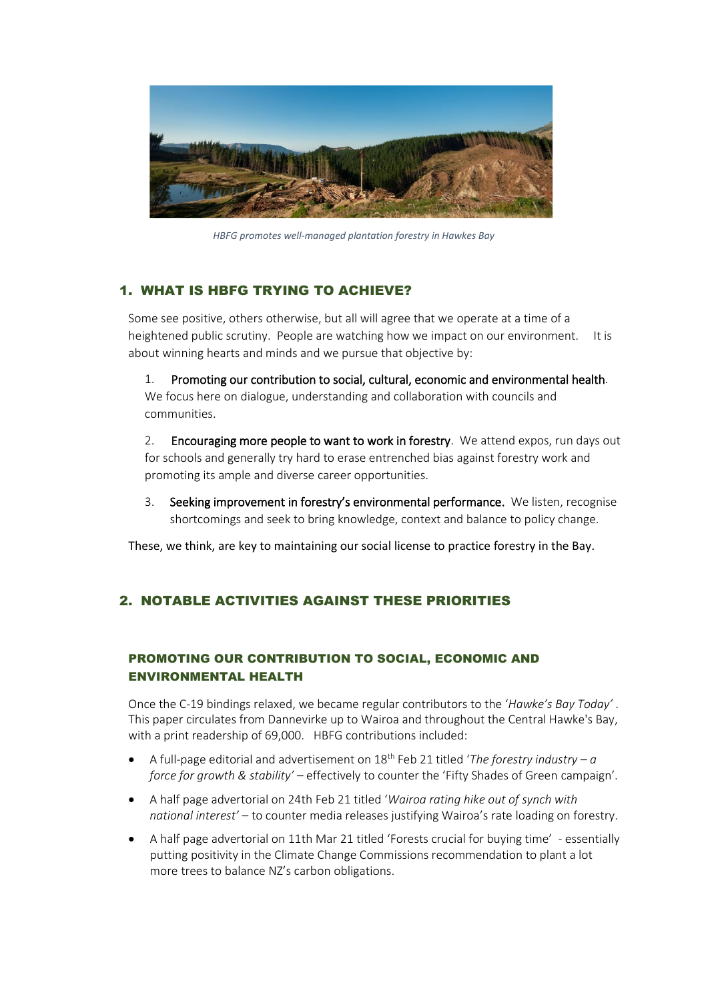

*HBFG promotes well-managed plantation forestry in Hawkes Bay*

## 1. WHAT IS HBFG TRYING TO ACHIEVE?

Some see positive, others otherwise, but all will agree that we operate at a time of a heightened public scrutiny. People are watching how we impact on our environment. It is about winning hearts and minds and we pursue that objective by:

1. Promoting our contribution to social, cultural, economic and environmental health. We focus here on dialogue, understanding and collaboration with councils and communities.

2. Encouraging more people to want to work in forestry. We attend expos, run days out for schools and generally try hard to erase entrenched bias against forestry work and promoting its ample and diverse career opportunities.

3. Seeking improvement in forestry's environmental performance. We listen, recognise shortcomings and seek to bring knowledge, context and balance to policy change.

These, we think, are key to maintaining our social license to practice forestry in the Bay.

## 2. NOTABLE ACTIVITIES AGAINST THESE PRIORITIES

## PROMOTING OUR CONTRIBUTION TO SOCIAL, ECONOMIC AND ENVIRONMENTAL HEALTH

Once the C-19 bindings relaxed, we became regular contributors to the '*Hawke's Bay Today'* . This paper circulates from Dannevirke up to Wairoa and throughout the Central Hawke's Bay, with a print readership of 69,000. HBFG contributions included:

- A full-page editorial and advertisement on 18<sup>th</sup> Feb 21 titled '*The forestry industry a force for growth & stability'* – effectively to counter the 'Fifty Shades of Green campaign'.
- A half page advertorial on 24th Feb 21 titled '*Wairoa rating hike out of synch with national interest'* – to counter media releases justifying Wairoa's rate loading on forestry.
- A half page advertorial on 11th Mar 21 titled 'Forests crucial for buying time' essentially putting positivity in the Climate Change Commissions recommendation to plant a lot more trees to balance NZ's carbon obligations.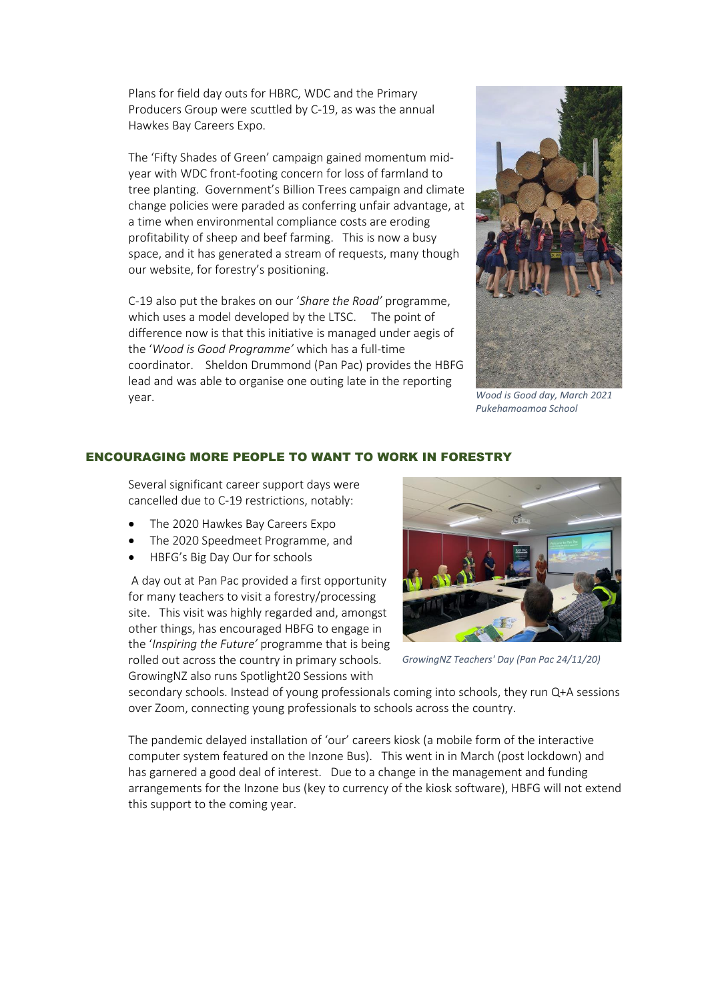Plans for field day outs for HBRC, WDC and the Primary Producers Group were scuttled by C-19, as was the annual Hawkes Bay Careers Expo.

The 'Fifty Shades of Green' campaign gained momentum midyear with WDC front-footing concern for loss of farmland to tree planting. Government's Billion Trees campaign and climate change policies were paraded as conferring unfair advantage, at a time when environmental compliance costs are eroding profitability of sheep and beef farming. This is now a busy space, and it has generated a stream of requests, many though our website, for forestry's positioning.

C-19 also put the brakes on our '*Share the Road'* programme, which uses a model developed by the LTSC. The point of difference now is that this initiative is managed under aegis of the '*Wood is Good Programme'* which has a full-time coordinator. Sheldon Drummond (Pan Pac) provides the HBFG lead and was able to organise one outing late in the reporting year.



*Wood is Good day, March 2021 Pukehamoamoa School*

#### ENCOURAGING MORE PEOPLE TO WANT TO WORK IN FORESTRY

Several significant career support days were cancelled due to C-19 restrictions, notably:

- The 2020 Hawkes Bay Careers Expo
- The 2020 Speedmeet Programme, and
- HBFG's Big Day Our for schools

A day out at Pan Pac provided a first opportunity for many teachers to visit a forestry/processing site. This visit was highly regarded and, amongst other things, has encouraged HBFG to engage in the '*Inspiring the Future'* programme that is being rolled out across the country in primary schools. GrowingNZ also runs Spotlight20 Sessions with



*GrowingNZ Teachers' Day (Pan Pac 24/11/20)*

secondary schools. Instead of young professionals coming into schools, they run Q+A sessions over Zoom, connecting young professionals to schools across the country.

The pandemic delayed installation of 'our' careers kiosk (a mobile form of the interactive computer system featured on the Inzone Bus). This went in in March (post lockdown) and has garnered a good deal of interest. Due to a change in the management and funding arrangements for the Inzone bus (key to currency of the kiosk software), HBFG will not extend this support to the coming year.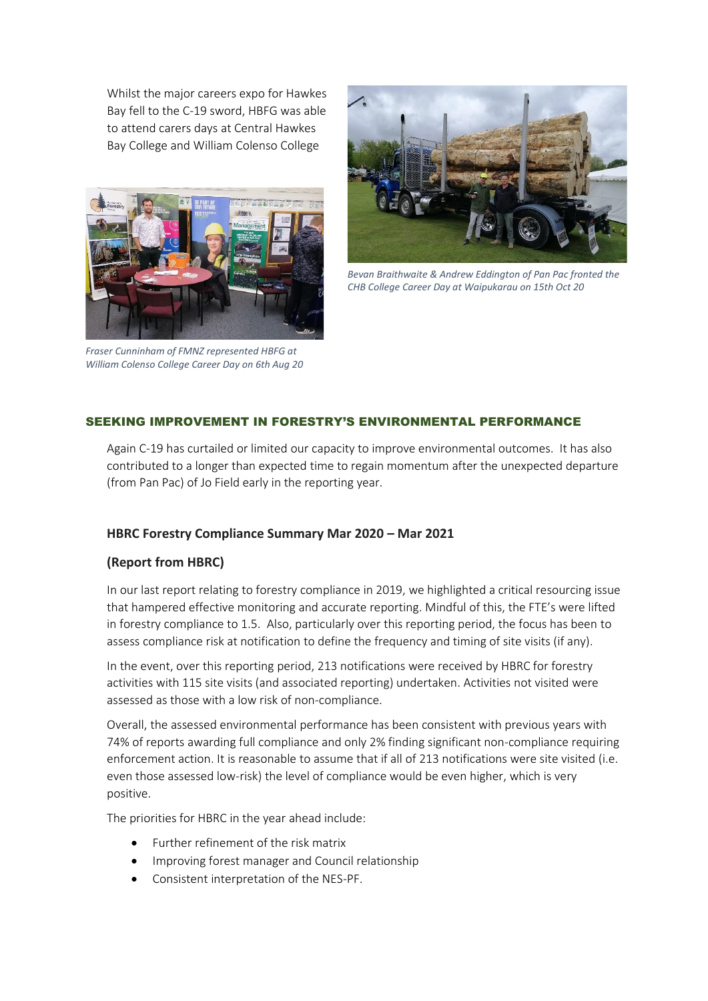Whilst the major careers expo for Hawkes Bay fell to the C-19 sword, HBFG was able to attend carers days at Central Hawkes Bay College and William Colenso College



*Fraser Cunninham of FMNZ represented HBFG at William Colenso College Career Day on 6th Aug 20* 



*Bevan Braithwaite & Andrew Eddington of Pan Pac fronted the CHB College Career Day at Waipukarau on 15th Oct 20* 

## SEEKING IMPROVEMENT IN FORESTRY'S ENVIRONMENTAL PERFORMANCE

Again C-19 has curtailed or limited our capacity to improve environmental outcomes. It has also contributed to a longer than expected time to regain momentum after the unexpected departure (from Pan Pac) of Jo Field early in the reporting year.

### **HBRC Forestry Compliance Summary Mar 2020 – Mar 2021**

### **(Report from HBRC)**

In our last report relating to forestry compliance in 2019, we highlighted a critical resourcing issue that hampered effective monitoring and accurate reporting. Mindful of this, the FTE's were lifted in forestry compliance to 1.5. Also, particularly over this reporting period, the focus has been to assess compliance risk at notification to define the frequency and timing of site visits (if any).

In the event, over this reporting period, 213 notifications were received by HBRC for forestry activities with 115 site visits (and associated reporting) undertaken. Activities not visited were assessed as those with a low risk of non-compliance.

Overall, the assessed environmental performance has been consistent with previous years with 74% of reports awarding full compliance and only 2% finding significant non-compliance requiring enforcement action. It is reasonable to assume that if all of 213 notifications were site visited (i.e. even those assessed low-risk) the level of compliance would be even higher, which is very positive.

The priorities for HBRC in the year ahead include:

- Further refinement of the risk matrix
- Improving forest manager and Council relationship
- Consistent interpretation of the NES-PF.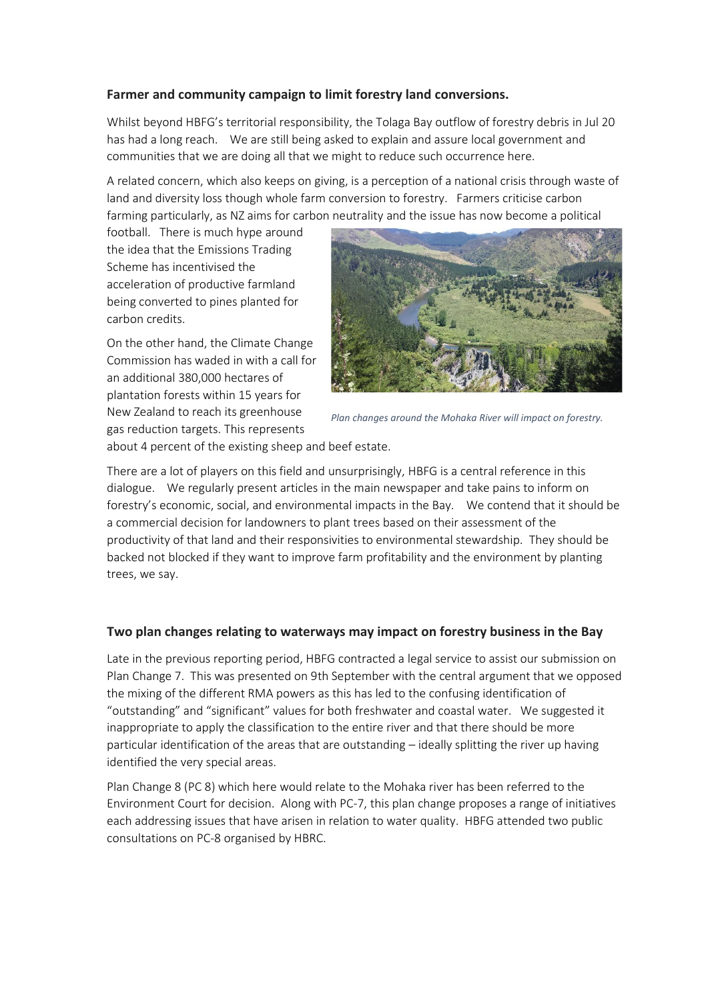## **Farmer and community campaign to limit forestry land conversions.**

Whilst beyond HBFG's territorial responsibility, the Tolaga Bay outflow of forestry debris in Jul 20 has had a long reach. We are still being asked to explain and assure local government and communities that we are doing all that we might to reduce such occurrence here.

A related concern, which also keeps on giving, is a perception of a national crisis through waste of land and diversity loss though whole farm conversion to forestry. Farmers criticise carbon farming particularly, as NZ aims for carbon neutrality and the issue has now become a political

football. There is much hype around the idea that the Emissions Trading Scheme has incentivised the acceleration of productive farmland being converted to pines planted for carbon credits.

On the other hand, the Climate Change Commission has waded in with a call for an additional 380,000 hectares of plantation forests within 15 years for New Zealand to reach its greenhouse gas reduction targets. This represents



*Plan changes around the Mohaka River will impact on forestry.*

about 4 percent of the existing sheep and beef estate.

There are a lot of players on this field and unsurprisingly, HBFG is a central reference in this dialogue. We regularly present articles in the main newspaper and take pains to inform on forestry's economic, social, and environmental impacts in the Bay. We contend that it should be a commercial decision for landowners to plant trees based on their assessment of the productivity of that land and their responsivities to environmental stewardship. They should be backed not blocked if they want to improve farm profitability and the environment by planting trees, we say.

### **Two plan changes relating to waterways may impact on forestry business in the Bay**

Late in the previous reporting period, HBFG contracted a legal service to assist our submission on Plan Change 7. This was presented on 9th September with the central argument that we opposed the mixing of the different RMA powers as this has led to the confusing identification of "outstanding" and "significant" values for both freshwater and coastal water. We suggested it inappropriate to apply the classification to the entire river and that there should be more particular identification of the areas that are outstanding – ideally splitting the river up having identified the very special areas.

Plan Change 8 (PC 8) which here would relate to the Mohaka river has been referred to the Environment Court for decision. Along with PC-7, this plan change proposes a range of initiatives each addressing issues that have arisen in relation to water quality. HBFG attended two public consultations on PC-8 organised by HBRC.